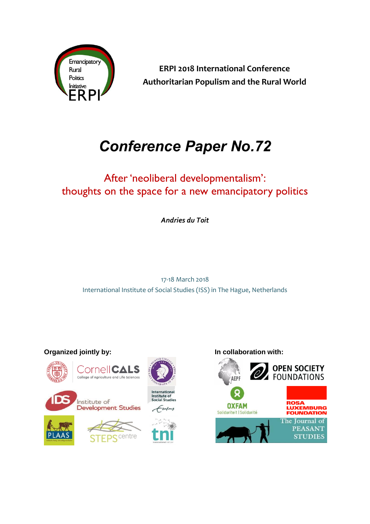

**ERPI 2018 International Conference Authoritarian Populism and the Rural World** 

# *Conference Paper No.72*

## After 'neoliberal developmentalism': thoughts on the space for a new emancipatory politics

*Andries du Toit*

17-18 March 2018 International Institute of Social Studies (ISS) in The Hague, Netherlands



**Organized jointly by: In collaboration with:**

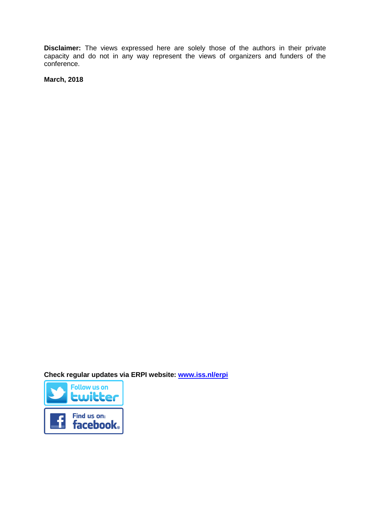**Disclaimer:** The views expressed here are solely those of the authors in their private capacity and do not in any way represent the views of organizers and funders of the conference.

**March, 2018**

**Check regular updates via ERPI website: [www.iss.nl/erpi](http://www.iss.nl/erpi)**

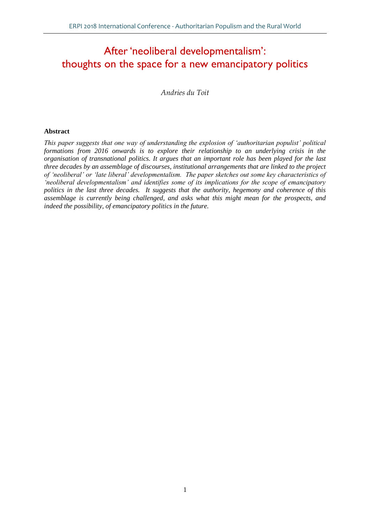### After 'neoliberal developmentalism': thoughts on the space for a new emancipatory politics

*Andries du Toit*

#### **Abstract**

*This paper suggests that one way of understanding the explosion of 'authoritarian populist' political formations from 2016 onwards is to explore their relationship to an underlying crisis in the organisation of transnational politics. It argues that an important role has been played for the last three decades by an assemblage of discourses, institutional arrangements that are linked to the project of 'neoliberal' or 'late liberal' developmentalism. The paper sketches out some key characteristics of 'neoliberal developmentalism' and identifies some of its implications for the scope of emancipatory politics in the last three decades. It suggests that the authority, hegemony and coherence of this assemblage is currently being challenged, and asks what this might mean for the prospects, and indeed the possibility, of emancipatory politics in the future.*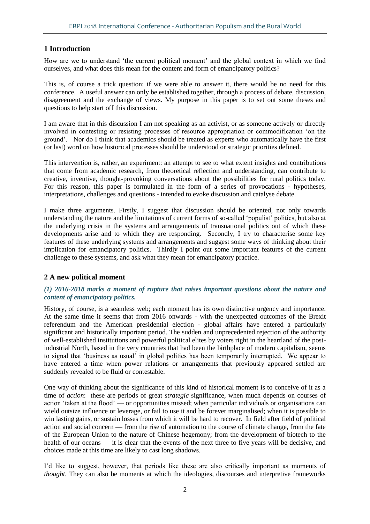#### **1 Introduction**

How are we to understand 'the current political moment' and the global context in which we find ourselves, and what does this mean for the content and form of emancipatory politics?

This is, of course a trick question: if we were able to answer it, there would be no need for this conference. A useful answer can only be established together, through a process of debate, discussion, disagreement and the exchange of views. My purpose in this paper is to set out some theses and questions to help start off this discussion.

I am aware that in this discussion I am not speaking as an activist, or as someone actively or directly involved in contesting or resisting processes of resource appropriation or commodification 'on the ground'. Nor do I think that academics should be treated as experts who automatically have the first (or last) word on how historical processes should be understood or strategic priorities defined.

This intervention is, rather, an experiment: an attempt to see to what extent insights and contributions that come from academic research, from theoretical reflection and understanding, can contribute to creative, inventive, thought-provoking conversations about the possibilities for rural politics today. For this reason, this paper is formulated in the form of a series of provocations - hypotheses, interpretations, challenges and questions - intended to evoke discussion and catalyse debate.

I make three arguments. Firstly, I suggest that discussion should be oriented, not only towards understanding the nature and the limitations of current forms of so-called 'populist' politics, but also at the underlying crisis in the systems and arrangements of transnational politics out of which these developments arise and to which they are responding. Secondly, I try to characterise some key features of these underlying systems and arrangements and suggest some ways of thinking about their implication for emancipatory politics. Thirdly I point out some important features of the current challenge to these systems, and ask what they mean for emancipatory practice.

#### **2 A new political moment**

#### *(1) 2016-2018 marks a moment of rupture that raises important questions about the nature and content of emancipatory politics.*

History, of course, is a seamless web; each moment has its own distinctive urgency and importance. At the same time it seems that from 2016 onwards - with the unexpected outcomes of the Brexit referendum and the American presidential election - global affairs have entered a particularly significant and historically important period. The sudden and unprecedented rejection of the authority of well-established institutions and powerful political elites by voters right in the heartland of the postindustrial North, based in the very countries that had been the birthplace of modern capitalism, seems to signal that 'business as usual' in global politics has been temporarily interrupted. We appear to have entered a time when power relations or arrangements that previously appeared settled are suddenly revealed to be fluid or contestable.

One way of thinking about the significance of this kind of historical moment is to conceive of it as a time of *action*: these are periods of great *strategic* significance, when much depends on courses of action 'taken at the flood' — or opportunities missed; when particular individuals or organisations can wield outsize influence or leverage, or fail to use it and be forever marginalised; when it is possible to win lasting gains, or sustain losses from which it will be hard to recover. In field after field of political action and social concern — from the rise of automation to the course of climate change, from the fate of the European Union to the nature of Chinese hegemony; from the development of biotech to the health of our oceans — it is clear that the events of the next three to five years will be decisive, and choices made at this time are likely to cast long shadows.

I'd like to suggest, however, that periods like these are also critically important as moments of *thought*. They can also be moments at which the ideologies, discourses and interpretive frameworks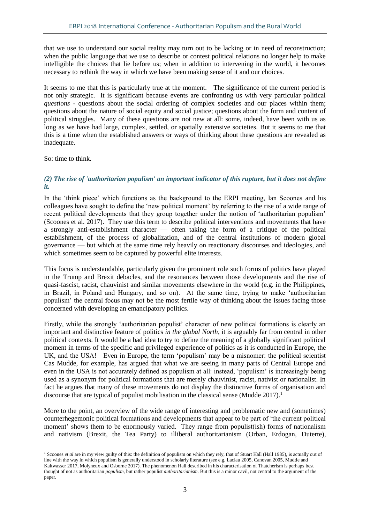that we use to understand our social reality may turn out to be lacking or in need of reconstruction; when the public language that we use to describe or contest political relations no longer help to make intelligible the choices that lie before us; when in addition to intervening in the world, it becomes necessary to rethink the way in which we have been making sense of it and our choices.

It seems to me that this is particularly true at the moment. The significance of the current period is not only strategic. It is significant because events are confronting us with very particular political *questions* - questions about the social ordering of complex societies and our places within them; questions about the nature of social equity and social justice; questions about the form and content of political struggles. Many of these questions are not new at all: some, indeed, have been with us as long as we have had large, complex, settled, or spatially extensive societies. But it seems to me that this is a time when the established answers or ways of thinking about these questions are revealed as inadequate.

So: time to think.

 $\overline{a}$ 

#### *(2) The rise of 'authoritarian populism' an important indicator of this rupture, but it does not define it.*

In the 'think piece' which functions as the background to the ERPI meeting, Ian Scoones and his colleagues have sought to define the 'new political moment' by referring to the rise of a wide range of recent political developments that they group together under the notion of 'authoritarian populism' (Scoones et al. 2017). They use this term to describe political interventions and movements that have a strongly anti-establishment character — often taking the form of a critique of the political establishment, of the process of globalization, and of the central institutions of modern global governance — but which at the same time rely heavily on reactionary discourses and ideologies, and which sometimes seem to be captured by powerful elite interests.

This focus is understandable, particularly given the prominent role such forms of politics have played in the Trump and Brexit debacles, and the resonances between those developments and the rise of quasi-fascist, racist, chauvinist and similar movements elsewhere in the world (e.g. in the Philippines, in Brazil, in Poland and Hungary, and so on). At the same time, trying to make 'authoritarian populism' the central focus may not be the most fertile way of thinking about the issues facing those concerned with developing an emancipatory politics.

Firstly, while the strongly 'authoritarian populist' character of new political formations is clearly an important and distinctive feature of politics *in the global North*, it is arguably far from central in other political contexts. It would be a bad idea to try to define the meaning of a globally significant political moment in terms of the specific and privileged experience of politics as it is conducted in Europe, the UK, and the USA! Even in Europe, the term 'populism' may be a misnomer: the political scientist Cas Mudde, for example, has argued that what we are seeing in many parts of Central Europe and even in the USA is not accurately defined as populism at all: instead, 'populism' is increasingly being used as a synonym for political formations that are merely chauvinist, racist, nativist or nationalist. In fact he argues that many of these movements do not display the distinctive forms of organisation and discourse that are typical of populist mobilisation in the classical sense (Mudde  $2017$ ).<sup>1</sup>

More to the point, an overview of the wide range of interesting and problematic new and (sometimes) counterhegemonic political formations and developments that appear to be part of 'the current political moment' shows them to be enormously varied. They range from populist(ish) forms of nationalism and nativism (Brexit, the Tea Party) to illiberal authoritarianism (Orban, Erdogan, Duterte),

<sup>&</sup>lt;sup>1</sup> Scoones *et al* are in my view guilty of this: the definition of populism on which they rely, that of Stuart Hall (Hall 1985), is actually out of line with the way in which populism is generally understood in scholarly literature (see e.g. Laclau 2005, Canovan 2005, Mudde and Kaltwasser 2017, Molyneux and Osborne 2017). The phenomenon Hall described in his characterisation of Thatcherism is perhaps best thought of not as authoritarian *populism*, but rather populist *authoritarianism*. But this is a minor cavil, not central to the argument of the paper.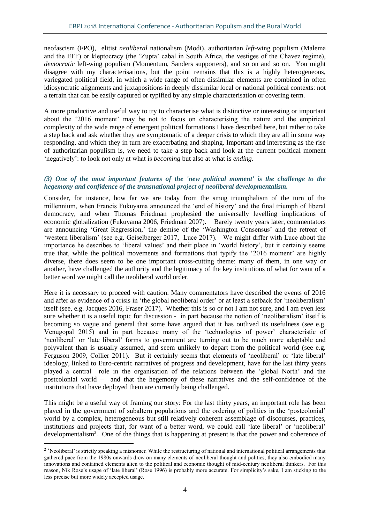neofascism (FPÖ), elitist *neoliberal* nationalism (Modi), authoritarian *left*-wing populism (Malema and the EFF) or kleptocracy (the 'Zupta' cabal in South Africa, the vestiges of the Chavez regime), *democratic* left-wing populism (Momentum, Sanders supporters), and so on and so on. You might disagree with my characterisations, but the point remains that this is a highly heterogeneous, variegated political field, in which a wide range of often dissimilar elements are combined in often idiosyncratic alignments and juxtapositions in deeply dissimilar local or national political contexts: not a terrain that can be easily captured or typified by any simple characterisation or covering term.

A more productive and useful way to try to characterise what is distinctive or interesting or important about the '2016 moment' may be not to focus on characterising the nature and the empirical complexity of the wide range of emergent political formations I have described here, but rather to take a step back and ask whether they are symptomatic of a deeper crisis to which they are all in some way responding, and which they in turn are exacerbating and shaping. Important and interesting as the rise of authoritarian populism is, we need to take a step back and look at the current political moment 'negatively': to look not only at what is *becoming* but also at what is *ending*.

#### *(3) One of the most important features of the 'new political moment' is the challenge to the hegemony and confidence of the transnational project of neoliberal developmentalism.*

Consider, for instance, how far we are today from the smug triumphalism of the turn of the millennium, when Francis Fukuyama announced the 'end of history' and the final triumph of liberal democracy, and when Thomas Friedman prophesied the universally levelling implications of economic globalization (Fukuyama 2006, Friedman 2007). Barely twenty years later, commentators are announcing 'Great Regression,' the demise of the 'Washington Consensus' and the retreat of 'western liberalism' (see e.g. Geiselberger 2017, Luce 2017). We might differ with Luce about the importance he describes to 'liberal values' and their place in 'world history', but it certainly seems true that, while the political movements and formations that typify the '2016 moment' are highly diverse, there does seem to be one important cross-cutting theme: many of them, in one way or another, have challenged the authority and the legitimacy of the key institutions of what for want of a better word we might call the neoliberal world order.

Here it is necessary to proceed with caution. Many commentators have described the events of 2016 and after as evidence of a crisis in 'the global neoliberal order' or at least a setback for 'neoliberalism' itself (see, e.g. Jacques 2016, Fraser 2017). Whether this is so or not I am not sure, and I am even less sure whether it is a useful topic for discussion - in part because the notion of 'neoliberalism' itself is becoming so vague and general that some have argued that it has outlived its usefulness (see e.g. Venugopal 2015) and in part because many of the 'technologies of power' characteristic of 'neoliberal' or 'late liberal' forms to government are turning out to be much more adaptable and polyvalent than is usually assumed, and seem unlikely to depart from the political world (see e.g. Ferguson 2009, Collier 2011). But it certainly seems that elements of 'neoliberal' or 'late liberal' ideology, linked to Euro-centric narratives of progress and development, have for the last thirty years played a central role in the organisation of the relations between the 'global North' and the postcolonial world – and that the hegemony of these narratives and the self-confidence of the institutions that have deployed them are currently being challenged.

This might be a useful way of framing our story: For the last thirty years, an important role has been played in the government of subaltern populations and the ordering of politics in the 'postcolonial' world by a complex, heterogeneous but still relatively coherent assemblage of discourses, practices, institutions and projects that, for want of a better word, we could call 'late liberal' or 'neoliberal' developmentalism<sup>2</sup>. One of the things that is happening at present is that the power and coherence of

 $\overline{a}$ 

<sup>&</sup>lt;sup>2</sup> 'Neoliberal' is strictly speaking a misnomer. While the restructuring of national and international political arrangements that gathered pace from the 1980s onwards drew on many elements of neoliberal thought and politics, they also embodied many innovations and contained elements alien to the political and economic thought of mid-century neoliberal thinkers. For this reason, Nik Rose's usage of 'late liberal' (Rose 1996) is probably more accurate. For simplicity's sake, I am sticking to the less precise but more widely accepted usage.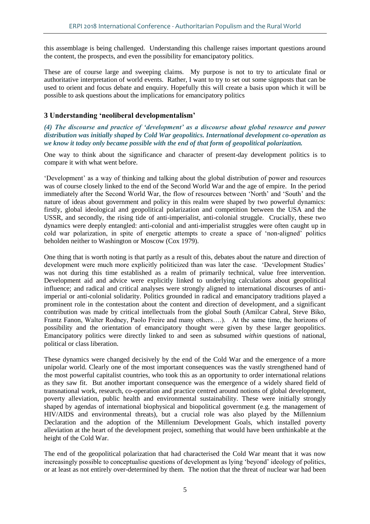this assemblage is being challenged. Understanding this challenge raises important questions around the content, the prospects, and even the possibility for emancipatory politics.

These are of course large and sweeping claims. My purpose is not to try to articulate final or authoritative interpretation of world events. Rather, I want to try to set out some signposts that can be used to orient and focus debate and enquiry. Hopefully this will create a basis upon which it will be possible to ask questions about the implications for emancipatory politics

#### **3 Understanding 'neoliberal developmentalism'**

*(4) The discourse and practice of 'development' as a discourse about global resource and power distribution was initially shaped by Cold War geopolitics. International development co-operation as we know it today only became possible with the end of that form of geopolitical polarization.*

One way to think about the significance and character of present-day development politics is to compare it with what went before.

'Development' as a way of thinking and talking about the global distribution of power and resources was of course closely linked to the end of the Second World War and the age of empire. In the period immediately after the Second World War, the flow of resources between 'North' and 'South' and the nature of ideas about government and policy in this realm were shaped by two powerful dynamics: firstly, global ideological and geopolitical polarization and competition between the USA and the USSR, and secondly, the rising tide of anti-imperialist, anti-colonial struggle. Crucially, these two dynamics were deeply entangled: anti-colonial and anti-imperialist struggles were often caught up in cold war polarization, in spite of energetic attempts to create a space of 'non-aligned' politics beholden neither to Washington or Moscow (Cox 1979).

One thing that is worth noting is that partly as a result of this, debates about the nature and direction of development were much more explicitly politicized than was later the case. 'Development Studies' was not during this time established as a realm of primarily technical, value free intervention. Development aid and advice were explicitly linked to underlying calculations about geopolitical influence; and radical and critical analyses were strongly aligned to international discourses of antiimperial or anti-colonial solidarity. Politics grounded in radical and emancipatory traditions played a prominent role in the contestation about the content and direction of development, and a significant contribution was made by critical intellectuals from the global South (Amilcar Cabral, Steve Biko, Frantz Fanon, Walter Rodney, Paolo Freire and many others….). At the same time, the horizons of possibility and the orientation of emancipatory thought were given by these larger geopolitics. Emancipatory politics were directly linked to and seen as subsumed *within* questions of national, political or class liberation.

These dynamics were changed decisively by the end of the Cold War and the emergence of a more unipolar world. Clearly one of the most important consequences was the vastly strengthened hand of the most powerful capitalist countries, who took this as an opportunity to order international relations as they saw fit. But another important consequence was the emergence of a widely shared field of transnational work, research, co-operation and practice centred around notions of global development, poverty alleviation, public health and environmental sustainability. These were initially strongly shaped by agendas of international biophysical and biopolitical government (e.g. the management of HIV/AIDS and environmental threats), but a crucial role was also played by the Millennium Declaration and the adoption of the Millennium Development Goals, which installed poverty alleviation at the heart of the development project, something that would have been unthinkable at the height of the Cold War.

The end of the geopolitical polarization that had characterised the Cold War meant that it was now increasingly possible to conceptualise questions of development as lying 'beyond' ideology of politics, or at least as not entirely over-determined by them. The notion that the threat of nuclear war had been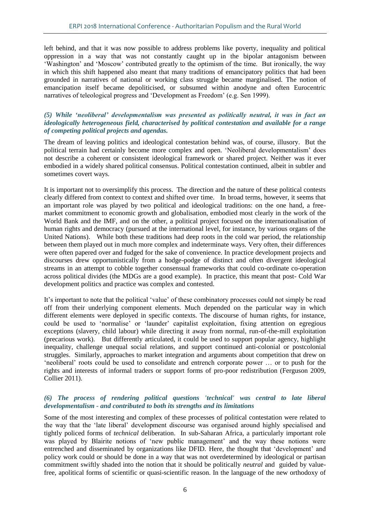left behind, and that it was now possible to address problems like poverty, inequality and political oppression in a way that was not constantly caught up in the bipolar antagonism between 'Washington' and 'Moscow' contributed greatly to the optimism of the time. But ironically, the way in which this shift happened also meant that many traditions of emancipatory politics that had been grounded in narratives of national or working class struggle became marginalised. The notion of emancipation itself became depoliticised, or subsumed within anodyne and often Eurocentric narratives of teleological progress and 'Development as Freedom' (e.g. Sen 1999).

#### *(5) While 'neoliberal' developmentalism was presented as politically neutral, it was in fact an ideologically heterogeneous field, characterised by political contestation and available for a range of competing political projects and agendas.*

The dream of leaving politics and ideological contestation behind was, of course, illusory. But the political terrain had certainly become more complex and open. 'Neoliberal developmentalism' does not describe a coherent or consistent ideological framework or shared project. Neither was it ever embodied in a widely shared political consensus. Political contestation continued, albeit in subtler and sometimes covert ways.

It is important not to oversimplify this process. The direction and the nature of these political contests clearly differed from context to context and shifted over time. In broad terms, however, it seems that an important role was played by two political and ideological traditions: on the one hand, a freemarket commitment to economic growth and globalisation, embodied most clearly in the work of the World Bank and the IMF, and on the other, a political project focused on the internationalisation of human rights and democracy (pursued at the international level, for instance, by various organs of the United Nations). While both these traditions had deep roots in the cold war period, the relationship between them played out in much more complex and indeterminate ways. Very often, their differences were often papered over and fudged for the sake of convenience. In practice development projects and discourses drew opportunistically from a hodge-podge of distinct and often divergent ideological streams in an attempt to cobble together consensual frameworks that could co-ordinate co-operation across political divides (the MDGs are a good example). In practice, this meant that post- Cold War development politics and practice was complex and contested.

It's important to note that the political 'value' of these combinatory processes could not simply be read off from their underlying component elements. Much depended on the particular way in which different elements were deployed in specific contexts. The discourse of human rights, for instance, could be used to 'normalise' or 'launder' capitalist exploitation, fixing attention on egregious exceptions (slavery, child labour) while directing it away from normal, run-of-the-mill exploitation (precarious work). But differently articulated, it could be used to support popular agency, highlight inequality, challenge unequal social relations, and support continued anti-colonial or postcolonial struggles. Similarly, approaches to market integration and arguments about competition that drew on 'neoliberal' roots could be used to consolidate and entrench corporate power … or to push for the rights and interests of informal traders or support forms of pro-poor redistribution (Ferguson 2009, Collier 2011).

#### *(6) The process of rendering political questions 'technical' was central to late liberal developmentalism - and contributed to both its strengths and its limitations*

Some of the most interesting and complex of these processes of political contestation were related to the way that the 'late liberal' development discourse was organised around highly specialised and tightly policed forms of *technical* deliberation. In sub-Saharan Africa, a particularly important role was played by Blairite notions of 'new public management' and the way these notions were entrenched and disseminated by organizations like DFID. Here, the thought that 'development' and policy work could or should be done in a way that was not overdetermined by ideological or partisan commitment swiftly shaded into the notion that it should be politically *neutral* and guided by valuefree, apolitical forms of scientific or quasi-scientific reason. In the language of the new orthodoxy of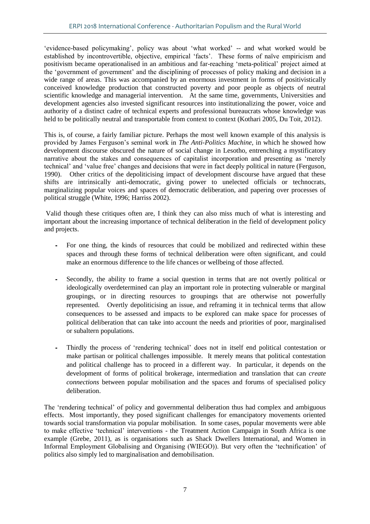'evidence-based policymaking', policy was about 'what worked' -- and what worked would be established by incontrovertible, objective, empirical 'facts'. These forms of naïve empiricism and positivism became operationalised in an ambitious and far-reaching 'meta-political' project aimed at the 'government of government' and the disciplining of processes of policy making and decision in a wide range of areas. This was accompanied by an enormous investment in forms of positivistically conceived knowledge production that constructed poverty and poor people as objects of neutral scientific knowledge and managerial intervention. At the same time, governments, Universities and development agencies also invested significant resources into institutionalizing the power, voice and authority of a distinct cadre of technical experts and professional bureaucrats whose knowledge was held to be politically neutral and transportable from context to context (Kothari 2005, Du Toit, 2012).

This is, of course, a fairly familiar picture. Perhaps the most well known example of this analysis is provided by James Ferguson's seminal work in *The Anti-Politics Machine*, in which he showed how development discourse obscured the nature of social change in Lesotho, entrenching a mystificatory narrative about the stakes and consequences of capitalist incorporation and presenting as 'merely technical' and 'value free' changes and decisions that were in fact deeply political in nature (Ferguson, 1990). Other critics of the depoliticising impact of development discourse have argued that these shifts are intrinsically anti-democratic, giving power to unelected officials or technocrats, marginalizing popular voices and spaces of democratic deliberation, and papering over processes of political struggle (White, 1996; Harriss 2002).

Valid though these critiques often are, I think they can also miss much of what is interesting and important about the increasing importance of technical deliberation in the field of development policy and projects.

- ⁃ For one thing, the kinds of resources that could be mobilized and redirected within these spaces and through these forms of technical deliberation were often significant, and could make an enormous difference to the life chances or wellbeing of those affected.
- Secondly, the ability to frame a social question in terms that are not overtly political or ideologically overdetermined can play an important role in protecting vulnerable or marginal groupings, or in directing resources to groupings that are otherwise not powerfully represented. Overtly depoliticising an issue, and reframing it in technical terms that allow consequences to be assessed and impacts to be explored can make space for processes of political deliberation that can take into account the needs and priorities of poor, marginalised or subaltern populations.
- ⁃ Thirdly the process of 'rendering technical' does not in itself end political contestation or make partisan or political challenges impossible. It merely means that political contestation and political challenge has to proceed in a different way. In particular, it depends on the development of forms of political brokerage, intermediation and translation that can *create connections* between popular mobilisation and the spaces and forums of specialised policy deliberation.

The 'rendering technical' of policy and governmental deliberation thus had complex and ambiguous effects. Most importantly, they posed significant challenges for emancipatory movements oriented towards social transformation via popular mobilisation. In some cases, popular movements were able to make effective 'technical' interventions - the Treatment Action Campaign in South Africa is one example (Grebe, 2011), as is organisations such as Shack Dwellers International, and Women in Informal Employment Globalising and Organising (WIEGO)). But very often the 'technification' of politics also simply led to marginalisation and demobilisation.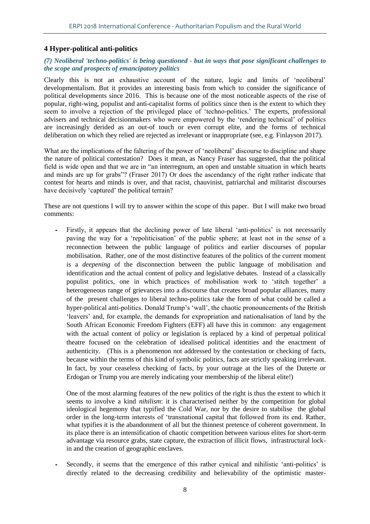#### **4 Hyper-political anti-politics**

#### *(7) Neoliberal 'techno-politics' is being questioned - but in ways that pose significant challenges to the scope and prospects of emancipatory politics*

Clearly this is not an exhaustive account of the nature, logic and limits of 'neoliberal' developmentalism. But it provides an interesting basis from which to consider the significance of political developments since 2016. This is because one of the most noticeable aspects of the rise of popular, right-wing, populist and anti-capitalist forms of politics since then is the extent to which they seem to involve a rejection of the privileged place of 'techno-politics.' The experts, professional advisers and technical decisionmakers who were empowered by the 'rendering technical' of politics are increasingly derided as an out-of touch or even corrupt elite, and the forms of technical deliberation on which they relied are rejected as irrelevant or inappropriate (see, e.g. Finlayson 2017).

What are the implications of the faltering of the power of 'neoliberal' discourse to discipline and shape the nature of political contestation? Does it mean, as Nancy Fraser has suggested, that the political field is wide open and that we are in "an interregnum, an open and unstable situation in which hearts and minds are up for grabs"? (Fraser 2017) Or does the ascendancy of the right rather indicate that contest for hearts and minds is over, and that racist, chauvinist, patriarchal and militarist discourses have decisively 'captured' the political terrain?

These are not questions I will try to answer within the scope of this paper. But I will make two broad comments:

Firstly, it appears that the declining power of late liberal 'anti-politics' is not necessarily paving the way for a 'repoliticisation' of the public sphere; at least not in the sense of a reconnection between the public language of politics and earlier discourses of popular mobilisation. Rather, one of the most distinctive features of the politics of the current moment is a *deepening* of the disconnection between the public language of mobilisation and identification and the actual content of policy and legislative debates. Instead of a classically populist politics, one in which practices of mobilisation work to 'stitch together' a heterogeneous range of grievances into a discourse that creates broad popular alliances, many of the present challenges to liberal techno-politics take the form of what could be called a hyper-political anti-politics. Donald Trump's 'wall', the chaotic pronouncements of the British 'leavers' and, for example, the demands for expropriation and nationalisation of land by the South African Economic Freedom Fighters (EFF) all have this in common: any engagement with the actual content of policy or legislation is replaced by a kind of perpetual political theatre focused on the celebration of idealised political identities and the enactment of authenticity. (This is a phenomenon not addressed by the contestation or checking of facts, because within the terms of this kind of symbolic politics, facts are strictly speaking irrelevant. In fact, by your ceaseless checking of facts, by your outrage at the lies of the Duterte or Erdogan or Trump you are merely indicating your membership of the liberal elite!)

One of the most alarming features of the new politics of the right is thus the extent to which it seems to involve a kind *nihilism*: it is characterised neither by the competition for global ideological hegemony that typified the Cold War, nor by the desire to stabilise the global order in the long-term interests of 'transnational capital that followed from its end. Rather, what typifies it is the abandonment of all but the thinnest pretence of coherent government. In its place there is an intensification of chaotic competition between various elites for short-term advantage via resource grabs, state capture, the extraction of illicit flows, infrastructural lockin and the creation of geographic enclaves.

⁃ Secondly, it seems that the emergence of this rather cynical and nihilistic 'anti-politics' is directly related to the decreasing credibility and believability of the optimistic master-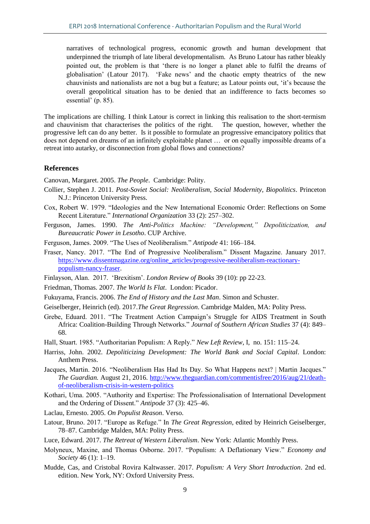narratives of technological progress, economic growth and human development that underpinned the triumph of late liberal developmentalism. As Bruno Latour has rather bleakly pointed out, the problem is that 'there is no longer a planet able to fulfil the dreams of globalisation' (Latour 2017). 'Fake news' and the chaotic empty theatrics of the new chauvinists and nationalists are not a bug but a feature; as Latour points out, 'it's because the overall geopolitical situation has to be denied that an indifference to facts becomes so essential' (p. 85).

The implications are chilling. I think Latour is correct in linking this realisation to the short-termism and chauvinism that characterises the politics of the right. The question, however, whether the progressive left can do any better. Is it possible to formulate an progressive emancipatory politics that does not depend on dreams of an infinitely exploitable planet … or on equally impossible dreams of a retreat into autarky, or disconnection from global flows and connections?

#### **References**

Canovan, Margaret. 2005. *The People*. Cambridge: Polity.

- Collier, Stephen J. 2011. *Post-Soviet Social: Neoliberalism, Social Modernity, Biopolitics*. Princeton N.J.: Princeton University Press.
- Cox, Robert W. 1979. "Ideologies and the New International Economic Order: Reflections on Some Recent Literature." *International Organization* 33 (2): 257–302.
- Ferguson, James. 1990. *The Anti-Politics Machine: "Development," Depoliticization, and Bureaucratic Power in Lesotho*. CUP Archive.
- Ferguson, James. 2009. "The Uses of Neoliberalism." *Antipode* 41: 166–184.
- Fraser, Nancy. 2017. "The End of Progressive Neoliberalism." Dissent Magazine. January 2017. [https://www.dissentmagazine.org/online\\_articles/progressive-neoliberalism-reactionary](https://www.dissentmagazine.org/online_articles/progressive-neoliberalism-reactionary-populism-nancy-fraser)[populism-nancy-fraser.](https://www.dissentmagazine.org/online_articles/progressive-neoliberalism-reactionary-populism-nancy-fraser)
- Finlayson, Alan. 2017. 'Brexitism'. *London Review of Books* 39 (10): pp 22-23.
- Friedman, Thomas. 2007. *The World Is Flat*. London: Picador.
- Fukuyama, Francis. 2006. *The End of History and the Last Man*. Simon and Schuster.
- Geiselberger, Heinrich (ed). 2017.*The Great Regression*. Cambridge Malden, MA: Polity Press.
- Grebe, Eduard. 2011. "The Treatment Action Campaign's Struggle for AIDS Treatment in South Africa: Coalition-Building Through Networks." *Journal of Southern African Studies* 37 (4): 849– 68.
- Hall, Stuart. 1985. "Authoritarian Populism: A Reply." *New Left Review*, I, no. 151: 115–24.
- Harriss, John. 2002. *Depoliticizing Development: The World Bank and Social Capital*. London: Anthem Press.
- Jacques, Martin. 2016. "Neoliberalism Has Had Its Day. So What Happens next? | Martin Jacques." *The Guardian.* August 21, 2016. [http://www.theguardian.com/commentisfree/2016/aug/21/death](http://www.theguardian.com/commentisfree/2016/aug/21/death-of-neoliberalism-crisis-in-western-politics)[of-neoliberalism-crisis-in-western-politics](http://www.theguardian.com/commentisfree/2016/aug/21/death-of-neoliberalism-crisis-in-western-politics)
- Kothari, Uma. 2005. "Authority and Expertise: The Professionalisation of International Development and the Ordering of Dissent." *Antipode* 37 (3): 425–46.
- Laclau, Ernesto. 2005. *On Populist Reason*. Verso.
- Latour, Bruno. 2017. "Europe as Refuge." In *The Great Regression*, edited by Heinrich Geiselberger, 78–87. Cambridge Malden, MA: Polity Press.

Luce, Edward. 2017. *The Retreat of Western Liberalism*. New York: Atlantic Monthly Press.

- Molyneux, Maxine, and Thomas Osborne. 2017. "Populism: A Deflationary View." *Economy and Society* 46 (1): 1–19.
- Mudde, Cas, and Cristobal Rovira Kaltwasser. 2017. *Populism: A Very Short Introduction*. 2nd ed. edition. New York, NY: Oxford University Press.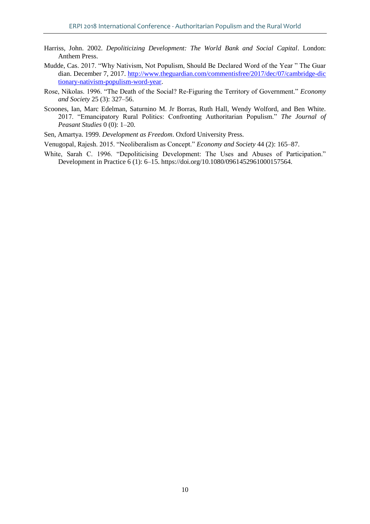- Harriss, John. 2002. *Depoliticizing Development: The World Bank and Social Capital*. London: Anthem Press.
- Mudde, Cas. 2017. "Why Nativism, Not Populism, Should Be Declared Word of the Year " The Guar dian. December 7, 2017. [http://www.theguardian.com/commentisfree/2017/dec/07/cambridge-dic](http://www.theguardian.com/commentisfree/2017/dec/07/cambridge-dictionary-nativism-populism-word-year) [tionary-nativism-populism-word-year.](http://www.theguardian.com/commentisfree/2017/dec/07/cambridge-dictionary-nativism-populism-word-year)
- Rose, Nikolas. 1996. "The Death of the Social? Re-Figuring the Territory of Government." *Economy and Society* 25 (3): 327–56.
- Scoones, Ian, Marc Edelman, Saturnino M. Jr Borras, Ruth Hall, Wendy Wolford, and Ben White. 2017. "Emancipatory Rural Politics: Confronting Authoritarian Populism." *The Journal of Peasant Studies* 0 (0): 1–20.
- Sen, Amartya. 1999. *Development as Freedom*. Oxford University Press.
- Venugopal, Rajesh. 2015. "Neoliberalism as Concept." *Economy and Society* 44 (2): 165–87.
- White, Sarah C. 1996. "Depoliticising Development: The Uses and Abuses of Participation." Development in Practice 6 (1): 6–15. https://doi.org/10.1080/0961452961000157564.